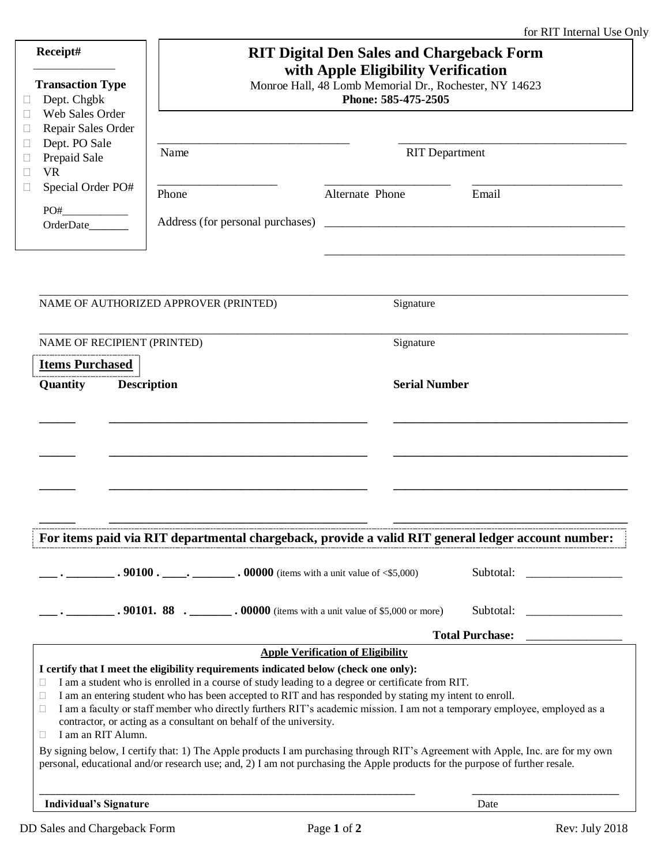|                                       |                    |                                                                                                                                                                                                                                                                                                            | <b>RIT Digital Den Sales and Chargeback Form</b> |                    |
|---------------------------------------|--------------------|------------------------------------------------------------------------------------------------------------------------------------------------------------------------------------------------------------------------------------------------------------------------------------------------------------|--------------------------------------------------|--------------------|
|                                       |                    |                                                                                                                                                                                                                                                                                                            | with Apple Eligibility Verification              |                    |
| <b>Transaction Type</b>               |                    | Monroe Hall, 48 Lomb Memorial Dr., Rochester, NY 14623<br>Phone: 585-475-2505                                                                                                                                                                                                                              |                                                  |                    |
| Dept. Chgbk                           |                    |                                                                                                                                                                                                                                                                                                            |                                                  |                    |
| Web Sales Order<br>Repair Sales Order |                    |                                                                                                                                                                                                                                                                                                            |                                                  |                    |
| Dept. PO Sale                         |                    |                                                                                                                                                                                                                                                                                                            |                                                  |                    |
| Prepaid Sale                          |                    | Name                                                                                                                                                                                                                                                                                                       | <b>RIT</b> Department                            |                    |
| <b>VR</b>                             |                    |                                                                                                                                                                                                                                                                                                            |                                                  |                    |
| Special Order PO#                     |                    | Phone                                                                                                                                                                                                                                                                                                      | Alternate Phone                                  | Email              |
|                                       |                    |                                                                                                                                                                                                                                                                                                            |                                                  |                    |
|                                       |                    | Address (for personal purchases)                                                                                                                                                                                                                                                                           |                                                  |                    |
|                                       |                    |                                                                                                                                                                                                                                                                                                            |                                                  |                    |
|                                       |                    |                                                                                                                                                                                                                                                                                                            |                                                  |                    |
|                                       |                    |                                                                                                                                                                                                                                                                                                            |                                                  |                    |
|                                       |                    | NAME OF AUTHORIZED APPROVER (PRINTED)                                                                                                                                                                                                                                                                      | Signature                                        |                    |
|                                       |                    |                                                                                                                                                                                                                                                                                                            |                                                  |                    |
| NAME OF RECIPIENT (PRINTED)           |                    |                                                                                                                                                                                                                                                                                                            | Signature                                        |                    |
| <b>Items Purchased</b>                |                    |                                                                                                                                                                                                                                                                                                            |                                                  |                    |
| Quantity                              |                    | <b>Description</b>                                                                                                                                                                                                                                                                                         | <b>Serial Number</b>                             |                    |
|                                       |                    |                                                                                                                                                                                                                                                                                                            |                                                  |                    |
|                                       |                    |                                                                                                                                                                                                                                                                                                            |                                                  |                    |
|                                       |                    | For items paid via RIT departmental chargeback, provide a valid RIT general ledger account number:                                                                                                                                                                                                         |                                                  | Subtotal:          |
|                                       |                    |                                                                                                                                                                                                                                                                                                            |                                                  |                    |
|                                       |                    | $\cdot$ . 90101. 88 $\cdot$ 00000 (items with a unit value of \$5,000 or more)                                                                                                                                                                                                                             |                                                  | Subtotal:          |
|                                       |                    |                                                                                                                                                                                                                                                                                                            |                                                  | Total Purchase: __ |
|                                       |                    |                                                                                                                                                                                                                                                                                                            | <b>Apple Verification of Eligibility</b>         |                    |
|                                       |                    | I certify that I meet the eligibility requirements indicated below (check one only):                                                                                                                                                                                                                       |                                                  |                    |
| Ш                                     |                    | I am a student who is enrolled in a course of study leading to a degree or certificate from RIT.                                                                                                                                                                                                           |                                                  |                    |
| Ш<br>Ш                                |                    | I am an entering student who has been accepted to RIT and has responded by stating my intent to enroll.<br>I am a faculty or staff member who directly furthers RIT's academic mission. I am not a temporary employee, employed as a<br>contractor, or acting as a consultant on behalf of the university. |                                                  |                    |
| Ш                                     | I am an RIT Alumn. |                                                                                                                                                                                                                                                                                                            |                                                  |                    |
|                                       |                    | By signing below, I certify that: 1) The Apple products I am purchasing through RIT's Agreement with Apple, Inc. are for my own<br>personal, educational and/or research use; and, 2) I am not purchasing the Apple products for the purpose of further resale.                                            |                                                  |                    |
| <b>Individual's Signature</b>         |                    |                                                                                                                                                                                                                                                                                                            |                                                  | Date               |